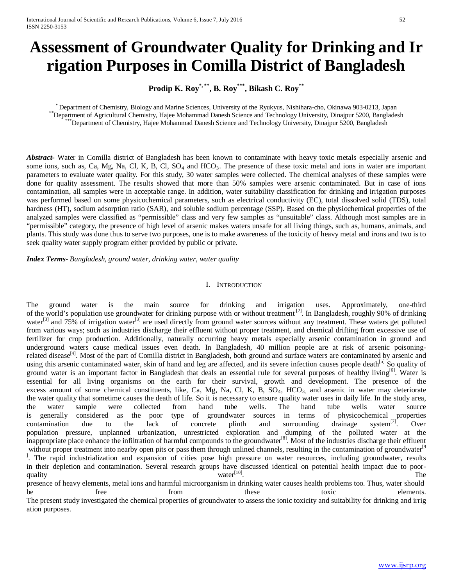# **Assessment of Groundwater Quality for Drinking and Ir rigation Purposes in Comilla District of Bangladesh**

**Prodip K. Roy\*, \*\*, B. Roy\*\*\* , Bikash C. Roy\*\***

\* Department of Chemistry, Biology and Marine Sciences, University of the Ryukyus, Nishihara-cho, Okinawa 903-0213, Japan<br>\*\*Department of Agricultural Chemistry, Hajee Mohammad Danesh Science and Technology University, Din

*Abstract***-** Water in Comilla district of Bangladesh has been known to contaminate with heavy toxic metals especially arsenic and some ions, such as, Ca, Mg, Na, Cl, K, B, Cl, SO<sub>4</sub> and HCO<sub>3</sub>. The presence of these toxic metal and ions in water are important parameters to evaluate water quality. For this study, 30 water samples were collected. The chemical analyses of these samples were done for quality assessment. The results showed that more than 50% samples were arsenic contaminated. But in case of ions contamination, all samples were in acceptable range. In addition, water suitability classification for drinking and irrigation purposes was performed based on some physicochemical parameters, such as electrical conductivity (EC), total dissolved solid (TDS), total hardness (HT), sodium adsorption ratio (SAR), and soluble sodium percentage (SSP). Based on the physiochemical properties of the analyzed samples were classified as "permissible" class and very few samples as "unsuitable" class. Although most samples are in "permissible" category, the presence of high level of arsenic makes waters unsafe for all living things, such as, humans, animals, and plants. This study was done thus to serve two purposes, one is to make awareness of the toxicity of heavy metal and irons and two is to seek quality water supply program either provided by public or private.

*Index Terms*- *Bangladesh, ground water, drinking water, water quality*

## I. INTRODUCTION

The ground water is the main source for drinking and irrigation uses. Approximately, one-third of the world's population use groundwater for drinking purpose with or without treatment<sup>[2]</sup>. In Bangladesh, roughly 90% of drinking water<sup>[3]</sup> and  $75\%$  of irrigation water<sup>[3]</sup> are used directly from ground water sources without any treatment. These waters get polluted from various ways; such as industries discharge their effluent without proper treatment, and chemical drifting from excessive use of fertilizer for crop production. Additionally, naturally occurring heavy metals especially arsenic contamination in ground and underground waters cause medical issues even death. In Bangladesh, 40 million people are at risk of arsenic poisoningrelated disease<sup>[4]</sup>. Most of the part of Comilla district in Bangladesh, both ground and surface waters are contaminated by arsenic and using this arsenic contaminated water, skin of hand and leg are affected, and its severe infection causes people death<sup>[5]</sup> So quality of ground water is an important factor in Bangladesh that deals an essential rule for several purposes of healthy living<sup>[6]</sup>. Water is essential for all living organisms on the earth for their survival, growth and development. The presence of the excess amount of some chemical constituents, like, Ca, Mg, Na, Cl, K, B,  $SO_4$ ,  $HCO_3$  and arsenic in water may deteriorate the water quality that sometime causes the death of life. So it is necessary to ensure quality water uses in daily life. In the study area, the water sample were collected from hand tube wells. The hand tube wells water source is generally considered as the poor type of groundwater sources in terms of physicochemical properties contamination due to the lack of concrete plinth and surrounding drainage system<sup>[7]</sup>. Over contamination due to the lack of concrete plinth and surrounding drainage system<sup>[7]</sup>. Over population pressure, unplanned urbanization, unrestricted exploration and dumping of the polluted water at the inappropriate place enhance the infiltration of harmful compounds to the groundwater<sup>[8]</sup>. Most of the industries discharge their effluent without proper treatment into nearby open pits or pass them through unlined channels, resulting in the contamination of groundwater<sup>[9</sup>] <sup>1</sup>. The rapid industrialization and expansion of cities pose high pressure on water resources, including groundwater, results in their depletion and contamination. Several research groups have discussed identical on potential health impact due to poorquality  $\text{water}^{[10]}$ . presence of heavy elements, metal ions and harmful microorganism in drinking water causes health problems too. Thus, water should

be free from these toxic elements. The present study investigated the chemical properties of groundwater to assess the ionic toxicity and suitability for drinking and irrig ation purposes.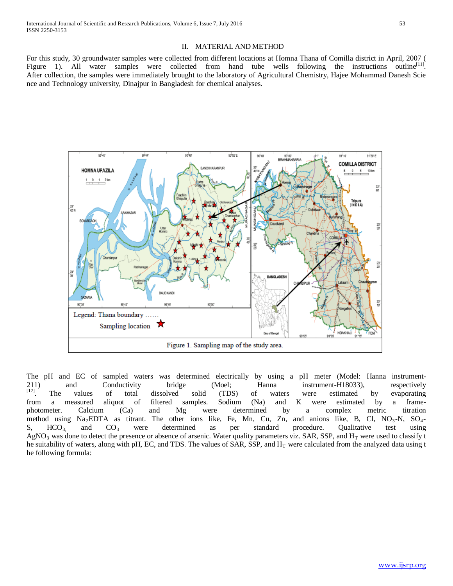For this study, 30 groundwater samples were collected from different locations at Homna Thana of Comilla district in April, 2007 ( Figure 1). All water samples were collected from hand tube wells following the instructions outline<sup>[11]</sup>. After collection, the samples were immediately brought to the laboratory of Agricultural Chemistry, Hajee Mohammad Danesh Scie nce and Technology university, Dinajpur in Bangladesh for chemical analyses.



The pH and EC of sampled waters was determined electrically by using a pH meter (Model: Hanna instrument-211) and Conductivity bridge (Moel; Hanna instrument-H18033), respectively<br><sup>[12]</sup>. The values of total dissolved solid (TDS) of waters were estimated by evaporating  $\begin{bmatrix} 1 & 1 \\ 1 & 2 \end{bmatrix}$ . The values of total dissolved solid (TDS) of waters were estimated by evaporating from a measured aliquot of filtered samples. Sodium (Na) and K were estimated by a framephotometer. Calcium (Ca) and Mg were determined by a complex metric titration method using  $Na<sub>2</sub>EDTA$  as titrant. The other ions like, Fe, Mn, Cu, Zn, and anions like, B, Cl, NO<sub>3</sub>-N, SO<sub>4</sub>-<br>S, HCO<sub>3</sub>, and CO<sub>3</sub> were determined as per standard procedure. Qualitative test using S,  $HCO<sub>3</sub>$  and  $CO<sub>3</sub>$  were determined as per standard procedure. Qualitative test using  $AgNO<sub>3</sub>$  was done to detect the presence or absence of arsenic. Water quality parameters viz. SAR, SSP, and  $H<sub>T</sub>$  were used to classify t he suitability of waters, along with pH, EC, and TDS. The values of SAR, SSP, and  $H<sub>T</sub>$  were calculated from the analyzed data using t he following formula: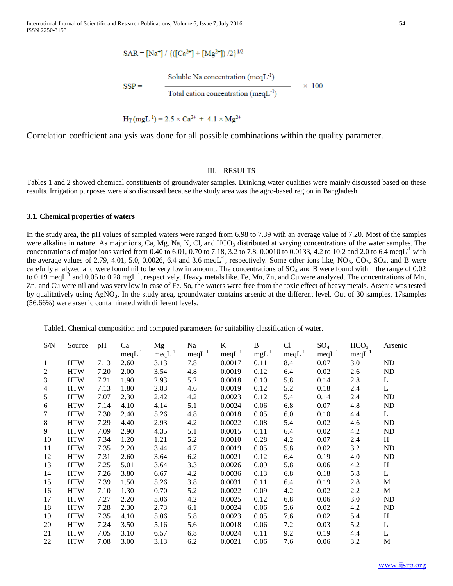International Journal of Scientific and Research Publications, Volume 6, Issue 7, July 2016 54 ISSN 2250-3153

$$
SAR = [Na^{+}] / \{([Ca^{2+}] + [Mg^{2+}]) / 2\}^{1/2}
$$

Soluble Na concentration ( $meqL^{-1}$ )

 $SSP =$ 

 $\times$  100 Total cation concentration (meqL $^{-1}$ )

 $H_T(mgL^{-1}) = 2.5 \times Ca^{2+} + 4.1 \times Mg^{2+}$ 

Correlation coefficient analysis was done for all possible combinations within the quality parameter.

## III. RESULTS

Tables 1 and 2 showed chemical constituents of groundwater samples. Drinking water qualities were mainly discussed based on these results. Irrigation purposes were also discussed because the study area was the agro-based region in Bangladesh.

## **3.1. Chemical properties of waters**

In the study area, the pH values of sampled waters were ranged from 6.98 to 7.39 with an average value of 7.20. Most of the samples were alkaline in nature. As major ions, Ca, Mg, Na, K, Cl, and HCO<sub>3</sub> distributed at varying concentrations of the water samples. The concentrations of major ions varied from 0.40 to 6.01, 0.70 to 7.18, 3.2 to 7.8, 0.0010 to 0.0133, 4.2 to 10.2 and 2.0 to 6.4 meqL<sup>-1</sup> with the average values of 2.79, 4.01, 5.0, 0.0026, 6.4 and 3.6 meqL<sup>-1</sup>, respectively. Some other ions like,  $NO_3$ ,  $CO_3$ ,  $SO_4$ , and B were carefully analyzed and were found nil to be very low in amount. The concentrations of SO<sub>4</sub> and B were found within the range of 0.02 to 0.19 meqL $^{-1}$  and 0.05 to 0.28 mgL $^{-1}$ , respectively. Heavy metals like, Fe, Mn, Zn, and Cu were analyzed. The concentrations of Mn, Zn, and Cu were nil and was very low in case of Fe. So, the waters were free from the toxic effect of heavy metals. Arsenic was tested by qualitatively using  $AgNO<sub>3</sub>$ . In the study area, groundwater contains arsenic at the different level. Out of 30 samples, 17 samples (56.66%) were arsenic contaminated with different levels.

Table1. Chemical composition and computed parameters for suitability classification of water.

| S/N            | Source     | pH   | Ca          | Mg          | Na          | K           | B          | C <sub>1</sub> | $SO_4$      | HCO <sub>3</sub> | Arsenic      |
|----------------|------------|------|-------------|-------------|-------------|-------------|------------|----------------|-------------|------------------|--------------|
|                |            |      | $meqL^{-1}$ | $meqL^{-1}$ | $meqL^{-1}$ | $meqL^{-1}$ | $mgL^{-1}$ | $meqL^{-1}$    | $meqL^{-1}$ | $meqL^{-1}$      |              |
| $\mathbf{1}$   | <b>HTW</b> | 7.13 | 2.60        | 3.13        | 7.8         | 0.0017      | 0.11       | 8.4            | 0.07        | 3.0              | ND           |
| 2              | <b>HTW</b> | 7.20 | 2.00        | 3.54        | 4.8         | 0.0019      | 0.12       | 6.4            | 0.02        | 2.6              | ND           |
| 3              | <b>HTW</b> | 7.21 | 1.90        | 2.93        | 5.2         | 0.0018      | 0.10       | 5.8            | 0.14        | 2.8              | $\mathbf L$  |
| $\overline{4}$ | <b>HTW</b> | 7.13 | 1.80        | 2.83        | 4.6         | 0.0019      | 0.12       | 5.2            | 0.18        | 2.4              | $\mathbf L$  |
| 5              | <b>HTW</b> | 7.07 | 2.30        | 2.42        | 4.2         | 0.0023      | 0.12       | 5.4            | 0.14        | 2.4              | ND           |
| 6              | <b>HTW</b> | 7.14 | 4.10        | 4.14        | 5.1         | 0.0024      | 0.06       | 6.8            | 0.07        | 4.8              | ND           |
| $\tau$         | <b>HTW</b> | 7.30 | 2.40        | 5.26        | 4.8         | 0.0018      | 0.05       | 6.0            | 0.10        | 4.4              | L            |
| $8\,$          | <b>HTW</b> | 7.29 | 4.40        | 2.93        | 4.2         | 0.0022      | 0.08       | 5.4            | 0.02        | 4.6              | ND           |
| 9              | <b>HTW</b> | 7.09 | 2.90        | 4.35        | 5.1         | 0.0015      | 0.11       | 6.4            | 0.02        | 4.2              | ND           |
| 10             | <b>HTW</b> | 7.34 | 1.20        | 1.21        | 5.2         | 0.0010      | 0.28       | 4.2            | 0.07        | 2.4              | H            |
| 11             | <b>HTW</b> | 7.35 | 2.20        | 3.44        | 4.7         | 0.0019      | 0.05       | 5.8            | 0.02        | 3.2              | ND           |
| 12             | <b>HTW</b> | 7.31 | 2.60        | 3.64        | 6.2         | 0.0021      | 0.12       | 6.4            | 0.19        | 4.0              | ND           |
| 13             | <b>HTW</b> | 7.25 | 5.01        | 3.64        | 3.3         | 0.0026      | 0.09       | 5.8            | 0.06        | 4.2              | H            |
| 14             | <b>HTW</b> | 7.26 | 3.80        | 6.67        | 4.2         | 0.0036      | 0.13       | 6.8            | 0.18        | 5.8              | $\mathbf L$  |
| 15             | <b>HTW</b> | 7.39 | 1.50        | 5.26        | 3.8         | 0.0031      | 0.11       | 6.4            | 0.19        | 2.8              | M            |
| 16             | <b>HTW</b> | 7.10 | 1.30        | 0.70        | 5.2         | 0.0022      | 0.09       | 4.2            | 0.02        | 2.2              | M            |
| 17             | <b>HTW</b> | 7.27 | 2.20        | 5.06        | 4.2         | 0.0025      | 0.12       | 6.8            | 0.06        | 3.0              | ND           |
| 18             | <b>HTW</b> | 7.28 | 2.30        | 2.73        | 6.1         | 0.0024      | 0.06       | 5.6            | 0.02        | 4.2              | ND           |
| 19             | <b>HTW</b> | 7.35 | 4.10        | 5.06        | 5.8         | 0.0023      | 0.05       | 7.6            | 0.02        | 5.4              | H            |
| 20             | <b>HTW</b> | 7.24 | 3.50        | 5.16        | 5.6         | 0.0018      | 0.06       | 7.2            | 0.03        | 5.2              | $\mathbf{L}$ |
| 21             | <b>HTW</b> | 7.05 | 3.10        | 6.57        | 6.8         | 0.0024      | 0.11       | 9.2            | 0.19        | 4.4              | L            |
| 22             | <b>HTW</b> | 7.08 | 3.00        | 3.13        | 6.2         | 0.0021      | 0.06       | 7.6            | 0.06        | 3.2              | M            |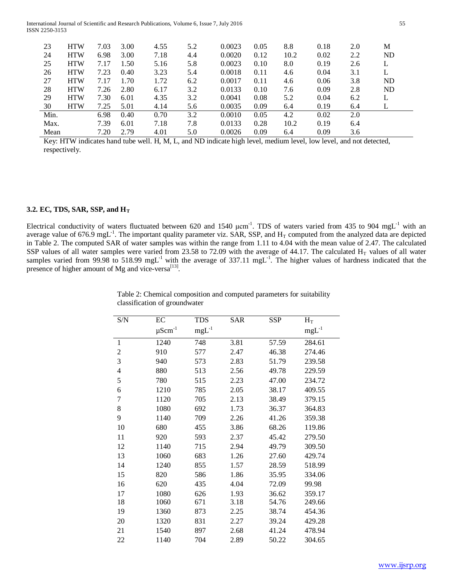International Journal of Scientific and Research Publications, Volume 6, Issue 7, July 2016 55 ISSN 2250-3153

| 23   | <b>HTW</b> | 7.03 | 3.00 | 4.55 | 5.2 | 0.0023 | 0.05 | 8.8  | 0.18 | 2.0 | М  |
|------|------------|------|------|------|-----|--------|------|------|------|-----|----|
| 24   | <b>HTW</b> | 6.98 | 3.00 | 7.18 | 4.4 | 0.0020 | 0.12 | 10.2 | 0.02 | 2.2 | ND |
| 25   | <b>HTW</b> | 7.17 | 1.50 | 5.16 | 5.8 | 0.0023 | 0.10 | 8.0  | 0.19 | 2.6 | L  |
| 26   | <b>HTW</b> | 7.23 | 0.40 | 3.23 | 5.4 | 0.0018 | 0.11 | 4.6  | 0.04 | 3.1 | L  |
| 27   | <b>HTW</b> | 7.17 | 1.70 | 1.72 | 6.2 | 0.0017 | 0.11 | 4.6  | 0.06 | 3.8 | ND |
| 28   | <b>HTW</b> | 7.26 | 2.80 | 6.17 | 3.2 | 0.0133 | 0.10 | 7.6  | 0.09 | 2.8 | ND |
| 29   | <b>HTW</b> | 7.30 | 6.01 | 4.35 | 3.2 | 0.0041 | 0.08 | 5.2  | 0.04 | 6.2 | L  |
| 30   | <b>HTW</b> | 7.25 | 5.01 | 4.14 | 5.6 | 0.0035 | 0.09 | 6.4  | 0.19 | 6.4 | L  |
| Min. |            | 6.98 | 0.40 | 0.70 | 3.2 | 0.0010 | 0.05 | 4.2  | 0.02 | 2.0 |    |
| Max. |            | 7.39 | 6.01 | 7.18 | 7.8 | 0.0133 | 0.28 | 10.2 | 0.19 | 6.4 |    |
| Mean |            | 7.20 | 2.79 | 4.01 | 5.0 | 0.0026 | 0.09 | 6.4  | 0.09 | 3.6 |    |

Key: HTW indicates hand tube well. H, M, L, and ND indicate high level, medium level, low level, and not detected, respectively.

#### **3.2. EC, TDS, SAR, SSP, and HT**

Electrical conductivity of waters fluctuated between 620 and 1540  $\mu$ cm<sup>-1</sup>. TDS of waters varied from 435 to 904 mgL<sup>-1</sup> with an average value of 676.9 mgL<sup>-1</sup>. The important quality parameter viz. SAR, SSP, and  $H_T$  computed from the analyzed data are depicted in Table 2. The computed SAR of water samples was within the range from 1.11 to 4.04 with the mean value of 2.47. The calculated SSP values of all water samples were varied from 23.58 to 72.09 with the average of 44.17. The calculated  $H_T$  values of all water samples varied from 99.98 to 518.99 mgL<sup>-1</sup> with the average of 337.11 mgL<sup>-1</sup>. The higher values of hardness indicated that the presence of higher amount of Mg and vice-versa<sup>[13]</sup>.

| S/N            | EC                      | <b>TDS</b>      | <b>SAR</b> | <b>SSP</b> | $H_T$      |
|----------------|-------------------------|-----------------|------------|------------|------------|
|                | $\mu \mathrm{Scm}^{-1}$ | $\rm{mgL}^{-1}$ |            |            | $mgL^{-1}$ |
| 1              | 1240                    | 748             | 3.81       | 57.59      | 284.61     |
| $\overline{c}$ | 910                     | 577             | 2.47       | 46.38      | 274.46     |
| 3              | 940                     | 573             | 2.83       | 51.79      | 239.58     |
| $\overline{4}$ | 880                     | 513             | 2.56       | 49.78      | 229.59     |
| 5              | 780                     | 515             | 2.23       | 47.00      | 234.72     |
| 6              | 1210                    | 785             | 2.05       | 38.17      | 409.55     |
| 7              | 1120                    | 705             | 2.13       | 38.49      | 379.15     |
| 8              | 1080                    | 692             | 1.73       | 36.37      | 364.83     |
| 9              | 1140                    | 709             | 2.26       | 41.26      | 359.38     |
| 10             | 680                     | 455             | 3.86       | 68.26      | 119.86     |
| 11             | 920                     | 593             | 2.37       | 45.42      | 279.50     |
| 12             | 1140                    | 715             | 2.94       | 49.79      | 309.50     |
| 13             | 1060                    | 683             | 1.26       | 27.60      | 429.74     |
| 14             | 1240                    | 855             | 1.57       | 28.59      | 518.99     |
| 15             | 820                     | 586             | 1.86       | 35.95      | 334.06     |
| 16             | 620                     | 435             | 4.04       | 72.09      | 99.98      |
| 17             | 1080                    | 626             | 1.93       | 36.62      | 359.17     |
| 18             | 1060                    | 671             | 3.18       | 54.76      | 249.66     |
| 19             | 1360                    | 873             | 2.25       | 38.74      | 454.36     |
| 20             | 1320                    | 831             | 2.27       | 39.24      | 429.28     |
| 21             | 1540                    | 897             | 2.68       | 41.24      | 478.94     |
| 22             | 1140                    | 704             | 2.89       | 50.22      | 304.65     |

Table 2: Chemical composition and computed parameters for suitability classification of groundwater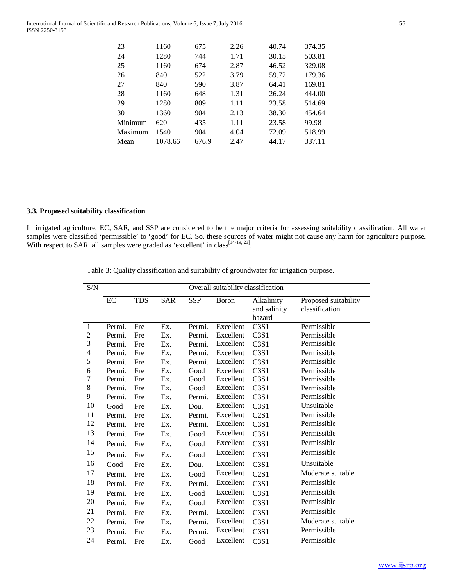| 23      | 1160    | 675   | 2.26 | 40.74 | 374.35 |
|---------|---------|-------|------|-------|--------|
| 24      | 1280    | 744   | 1.71 | 30.15 | 503.81 |
| 25      | 1160    | 674   | 2.87 | 46.52 | 329.08 |
| 26      | 840     | 522   | 3.79 | 59.72 | 179.36 |
| 27      | 840     | 590   | 3.87 | 64.41 | 169.81 |
| 28      | 1160    | 648   | 1.31 | 26.24 | 444.00 |
| 29      | 1280    | 809   | 1.11 | 23.58 | 514.69 |
| 30      | 1360    | 904   | 2.13 | 38.30 | 454.64 |
| Minimum | 620     | 435   | 1.11 | 23.58 | 99.98  |
| Maximum | 1540    | 904   | 4.04 | 72.09 | 518.99 |
| Mean    | 1078.66 | 676.9 | 2.47 | 44.17 | 337.11 |

# **3.3. Proposed suitability classification**

In irrigated agriculture, EC, SAR, and SSP are considered to be the major criteria for assessing suitability classification. All water samples were classified 'permissible' to 'good' for EC. So, these sources of water might not cause any harm for agriculture purpose. With respect to SAR, all samples were graded as 'excellent' in class<sup>[14-19, 23]</sup>.

Table 3: Quality classification and suitability of groundwater for irrigation purpose.

| S/N            | Overall suitability classification |            |            |            |              |                               |                      |  |
|----------------|------------------------------------|------------|------------|------------|--------------|-------------------------------|----------------------|--|
|                | EC                                 | <b>TDS</b> | <b>SAR</b> | <b>SSP</b> | <b>Boron</b> | Alkalinity                    | Proposed suitability |  |
|                |                                    |            |            |            |              | and salinity                  | classification       |  |
|                |                                    |            |            |            |              | hazard                        |                      |  |
| $\mathbf{1}$   | Permi.                             | Fre        | Ex.        | Permi.     | Excellent    | C3S1                          | Permissible          |  |
| $\overline{c}$ | Permi.                             | Fre        | Ex.        | Permi.     | Excellent    | C <sub>3</sub> S <sub>1</sub> | Permissible          |  |
| 3              | Permi.                             | Fre        | Ex.        | Permi.     | Excellent    | C <sub>3</sub> S <sub>1</sub> | Permissible          |  |
| 4              | Permi.                             | Fre        | Ex.        | Permi.     | Excellent    | C3S1                          | Permissible          |  |
| 5              | Permi.                             | Fre        | Ex.        | Permi.     | Excellent    | C3S1                          | Permissible          |  |
| 6              | Permi.                             | Fre        | Ex.        | Good       | Excellent    | C3S1                          | Permissible          |  |
| $\overline{7}$ | Permi.                             | Fre        | Ex.        | Good       | Excellent    | C3S1                          | Permissible          |  |
| 8              | Permi.                             | Fre        | Ex.        | Good       | Excellent    | C3S1                          | Permissible          |  |
| 9              | Permi.                             | Fre        | Ex.        | Permi.     | Excellent    | C3S1                          | Permissible          |  |
| 10             | Good                               | Fre        | Ex.        | Dou.       | Excellent    | C <sub>3</sub> S <sub>1</sub> | Unsuitable           |  |
| 11             | Permi.                             | Fre        | Ex.        | Permi.     | Excellent    | C2S1                          | Permissible          |  |
| 12             | Permi.                             | Fre        | Ex.        | Permi.     | Excellent    | C3S1                          | Permissible          |  |
| 13             | Permi.                             | Fre        | Ex.        | Good       | Excellent    | C3S1                          | Permissible          |  |
| 14             | Permi.                             | Fre        | Ex.        | Good       | Excellent    | C3S1                          | Permissible          |  |
| 15             | Permi.                             | Fre        | Ex.        | Good       | Excellent    | C3S1                          | Permissible          |  |
| 16             | Good                               | Fre        | Ex.        | Dou.       | Excellent    | C3S1                          | Unsuitable           |  |
| 17             | Permi.                             | Fre        | Ex.        | Good       | Excellent    | C2S1                          | Moderate suitable    |  |
| 18             | Permi.                             | Fre        | Ex.        | Permi.     | Excellent    | C <sub>3</sub> S1             | Permissible          |  |
| 19             | Permi.                             | Fre        | Ex.        | Good       | Excellent    | C3S1                          | Permissible          |  |
| 20             | Permi.                             | Fre        | Ex.        | Good       | Excellent    | C3S1                          | Permissible          |  |
| 21             | Permi.                             | Fre        | Ex.        | Permi.     | Excellent    | C <sub>3</sub> S1             | Permissible          |  |
| 22             | Permi.                             | Fre        | Ex.        | Permi.     | Excellent    | C3S1                          | Moderate suitable    |  |
| 23             | Permi.                             | Fre        | Ex.        | Permi.     | Excellent    | C3S1                          | Permissible          |  |
| 24             | Permi.                             | Fre        | Ex.        | Good       | Excellent    | C3S1                          | Permissible          |  |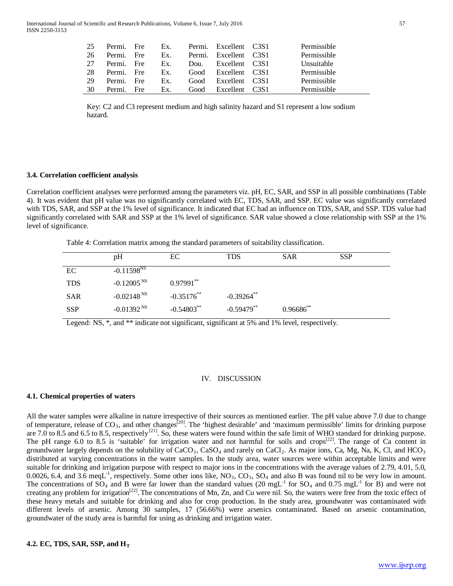| 25  | Permi. Fre |     | Ex. Permi. Excellent C3S1 | Permissible |
|-----|------------|-----|---------------------------|-------------|
| -26 | Permi. Fre |     | Ex. Permi. Excellent C3S1 | Permissible |
| 27  | Permi Fre  |     | Ex. Dou. Excellent C3S1   | Unsuitable  |
| 28  | Permi Fre  | Ex. | Good Excellent C3S1       | Permissible |
| 29  | Permi. Fre | Ex. | Good Excellent C3S1       | Permissible |
| 30  | Permi. Fre | Ex. | Good Excellent C3S1       | Permissible |

Key: C2 and C3 represent medium and high salinity hazard and S1 represent a low sodium hazard.

## **3.4. Correlation coefficient analysis**

Correlation coefficient analyses were performed among the parameters viz. pH, EC, SAR, and SSP in all possible combinations (Table 4). It was evident that pH value was no significantly correlated with EC, TDS, SAR, and SSP. EC value was significantly correlated with TDS, SAR, and SSP at the 1% level of significance. It indicated that EC had an influence on TDS, SAR, and SSP. TDS value had significantly correlated with SAR and SSP at the 1% level of significance. SAR value showed a close relationship with SSP at the 1% level of significance.

Table 4: Correlation matrix among the standard parameters of suitability classification.

|            | pH                        | EC              | TDS                      | <b>SAR</b>     | <b>SSP</b> |
|------------|---------------------------|-----------------|--------------------------|----------------|------------|
| EC         | $-0.11598NS$              |                 |                          |                |            |
| <b>TDS</b> | $-0.12005NS$              | $0.97991**$     |                          |                |            |
| <b>SAR</b> | $-0.02148NS$              | $-0.35176^{**}$ | $-0.39264$ <sup>**</sup> |                |            |
| <b>SSP</b> | -0.01392 $\mathrm{^{NS}}$ | $-0.54803$ **   | $-0.59479$ **            | $0.96686^{**}$ |            |
|            |                           |                 |                          |                |            |

Legend: NS,  $*$ , and  $**$  indicate not significant, significant at 5% and 1% level, respectively.

## IV. DISCUSSION

#### **4.1. Chemical properties of waters**

All the water samples were alkaline in nature irrespective of their sources as mentioned earlier. The pH value above 7.0 due to change of temperature, release of  $CO_3$ , and other changes<sup>[20]</sup>. The 'highest desirable' and 'maximum permissible' limits for drinking purpose are 7.0 to 8.5 and 6.5 to 8.5, respectively<sup>[21]</sup>. So, these waters were found within the safe limit of WHO standard for drinking purpose. The pH range 6.0 to 8.5 is 'suitable' for irrigation water and not harmful for soils and crops<sup>[22]</sup>. The range of Ca content in groundwater largely depends on the solubility of  $CaCO<sub>3</sub>$ ,  $CaSO<sub>4</sub>$  and rarely on  $CaCl<sub>2</sub>$ . As major ions, Ca, Mg, Na, K, Cl, and HCO<sub>3</sub> distributed at varying concentrations in the water samples. In the study area, water sources were within acceptable limits and were suitable for drinking and irrigation purpose with respect to major ions in the concentrations with the average values of 2.79, 4.01, 5.0, 0.0026, 6.4, and 3.6 meqL<sup>-1</sup>, respectively. Some other ions like,  $NO_3$ ,  $CO_3$ ,  $SO_4$  and also B was found nil to be very low in amount. The concentrations of  $SO_4$  and B were far lower than the standard values (20 mgL<sup>-1</sup> for  $SO_4$  and 0.75 mgL<sup>-1</sup> for B) and were not creating any problem for irrigation<sup>[22]</sup>. The concentrations of Mn, Zn, and Cu were nil. So, the waters were free from the toxic effect of these heavy metals and suitable for drinking and also for crop production. In the study area, groundwater was contaminated with different levels of arsenic. Among 30 samples, 17 (56.66%) were arsenics contaminated. Based on arsenic contamination, groundwater of the study area is harmful for using as drinking and irrigation water.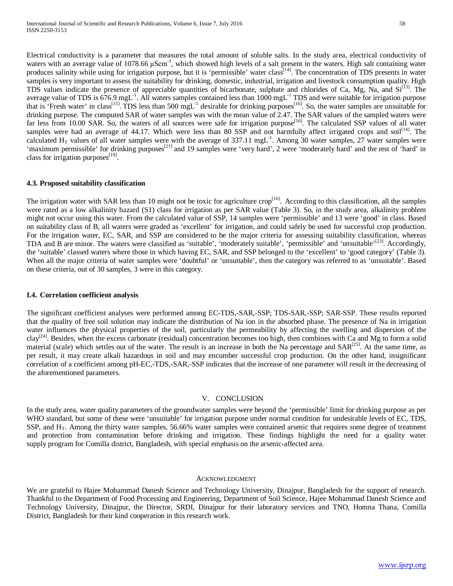Electrical conductivity is a parameter that measures the total amount of soluble salts. In the study area, electrical conductivity of waters with an average value of 1078.66 μScm<sup>-1</sup>, which showed high levels of a salt present in the waters. High salt containing water produces salinity while using for irrigation purpose, but it is 'permissible' water class<sup>[14]</sup>. The concentration of TDS presents in water samples is very important to assess the suitability for drinking, domestic, industrial, irrigation and livestock consumption quality. High TDS values indicate the presence of appreciable quantities of bicarbonate, sulphate and chlorides of Ca, Mg, Na, and Si<sup>[13]</sup>. The average value of TDS is  $676.9$  mgL<sup>-1</sup>. All waters samples contained less than 1000 mgL<sup>-1</sup> TDS and were suitable for irrigation purpose that is 'Fresh water' in class<sup>[15]</sup>. TDS less than 500 mgL<sup>-1</sup> desirable for drinking purposes<sup>[16]</sup>. So, the water samples are unsuitable for drinking purpose. The computed SAR of water samples was with the mean value of 2.47. The SAR values of the sampled waters were far less from 10.00 SAR. So, the waters of all sources were safe for irrigation purpose<sup>[16]</sup>. The calculated SSP values of all water samples were had an average of 44.17. Which were less than 80 SSP and not harmfully affect irrigated crops and soil<sup>[14]</sup>. The calculated  $H_T$  values of all water samples were with the average of 337.11 mgL<sup>-1</sup>. Among 30 water samples, 27 water samples were 'maximum permissible' for drinking purposes<sup>[21]</sup> and 19 samples were 'very hard', 2 were 'moderately hard' and the rest of 'hard' in class for irrigation purposes<sup>[19]</sup>.

# **4.3. Proposed suitability classification**

The irrigation water with SAR less than 10 might not be toxic for agriculture crop<sup>[16]</sup>. According to this classification, all the samples were rated as a low alkalinity hazard (S1) class for irrigation as per SAR value (Table 3). So, in the study area, alkalinity problem might not occur using this water. From the calculated value of SSP, 14 samples were 'permissible' and 13 were 'good' in class. Based on suitability class of B, all waters were graded as 'excellent' for irrigation, and could safely be used for successful crop production. For the irrigation water, EC, SAR, and SSP are considered to be the major criteria for assessing suitability classification, whereas TDA and B are minor. The waters were classified as 'suitable', 'moderately suitable', 'permissible' and 'unsuitable'<sup>[23]</sup>. Accordingly, the 'suitable' classed waters where those in which having EC, SAR, and SSP belonged to the 'excellent' to 'good category' (Table 3). When all the major criteria of water samples were 'doubtful' or 'unsuitable', then the category was referred to as 'unsuitable'. Based on these criteria, out of 30 samples, 3 were in this category.

## **I.4. Correlation coefficient analysis**

The significant coefficient analyses were performed among EC-TDS,-SAR,-SSP; TDS-SAR,-SSP; SAR-SSP. These results reported that the quality of free soil solution may indicate the distribution of Na ion in the absorbed phase. The presence of Na in irrigation water influences the physical properties of the soil, particularly the permeability by affecting the swelling and dispersion of the clay<sup>[24]</sup>. Besides, when the excess carbonate (residual) concentration becomes too high, then combines with Ca and Mg to form a solid material (scale) which settles out of the water. The result is an increase in both the Na percentage and  $SAR^{[25]}$ . At the same time, as per result, it may create alkali hazardous in soil and may encumber successful crop production. On the other hand, insignificant correlation of a coefficient among pH-EC,-TDS,-SAR,-SSP indicates that the increase of one parameter will result in the decreasing of the aforementioned parameters.

## V. CONCLUSION

In the study area, water quality parameters of the groundwater samples were beyond the 'permissible' limit for drinking purpose as per WHO standard, but some of these were 'unsuitable' for irrigation purpose under normal condition for undesirable levels of EC, TDS, SSP, and H<sub>T</sub>. Among the thirty water samples, 56.66% water samples were contained arsenic that requires some degree of treatment and protection from contamination before drinking and irrigation. These findings highlight the need for a quality water supply program for Comilla district, Bangladesh, with special emphasis on the arsenic-affected area.

## ACKNOWLEDGMENT

We are grateful to Hajee Mohammad Danesh Science and Technology University, Dinajpur, Bangladesh for the support of research. Thankful to the Department of Food Processing and Engineering, Department of Soil Science, Hajee Mohammad Danesh Science and Technology University, Dinajpur, the Director, SRDI, Dinajpur for their laboratory services and TNO, Homna Thana, Comilla District, Bangladesh for their kind cooperation in this research work.